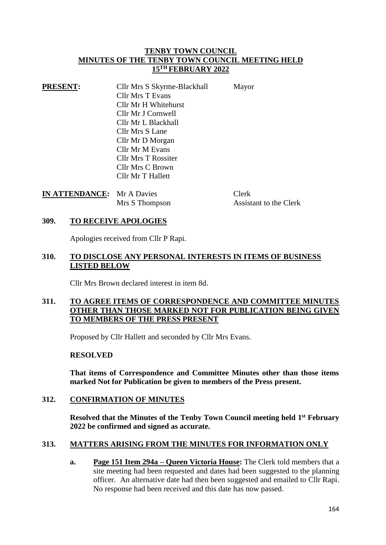### **TENBY TOWN COUNCIL MINUTES OF THE TENBY TOWN COUNCIL MEETING HELD 15TH FEBRUARY 2022**

| <b>PRESENT:</b> | Cllr Mrs S Skyrme-Blackhall | Mayor |
|-----------------|-----------------------------|-------|
|                 | <b>Cllr Mrs T Evans</b>     |       |
|                 | Cllr Mr H Whitehurst        |       |
|                 | Cllr Mr J Cornwell          |       |
|                 | Cllr Mr L Blackhall         |       |
|                 | Cllr Mrs S Lane             |       |
|                 | Cllr Mr D Morgan            |       |
|                 | Cllr Mr M Evans             |       |
|                 | <b>Cllr Mrs T Rossiter</b>  |       |
|                 | Cllr Mrs C Brown            |       |
|                 | Cllr Mr T Hallett           |       |

| <b>IN ATTENDANCE:</b> Mr A Davies |                | Clerk                  |
|-----------------------------------|----------------|------------------------|
|                                   | Mrs S Thompson | Assistant to the Clerk |

### **309. TO RECEIVE APOLOGIES**

Apologies received from Cllr P Rapi.

### **310. TO DISCLOSE ANY PERSONAL INTERESTS IN ITEMS OF BUSINESS LISTED BELOW**

Cllr Mrs Brown declared interest in item 8d.

# **311. TO AGREE ITEMS OF CORRESPONDENCE AND COMMITTEE MINUTES OTHER THAN THOSE MARKED NOT FOR PUBLICATION BEING GIVEN TO MEMBERS OF THE PRESS PRESENT**

Proposed by Cllr Hallett and seconded by Cllr Mrs Evans.

#### **RESOLVED**

**That items of Correspondence and Committee Minutes other than those items marked Not for Publication be given to members of the Press present.**

#### **312. CONFIRMATION OF MINUTES**

**Resolved that the Minutes of the Tenby Town Council meeting held 1 st February 2022 be confirmed and signed as accurate.**

#### **313. MATTERS ARISING FROM THE MINUTES FOR INFORMATION ONLY**

**a. Page 151 Item 294a – Queen Victoria House:** The Clerk told members that a site meeting had been requested and dates had been suggested to the planning officer. An alternative date had then been suggested and emailed to Cllr Rapi. No response had been received and this date has now passed.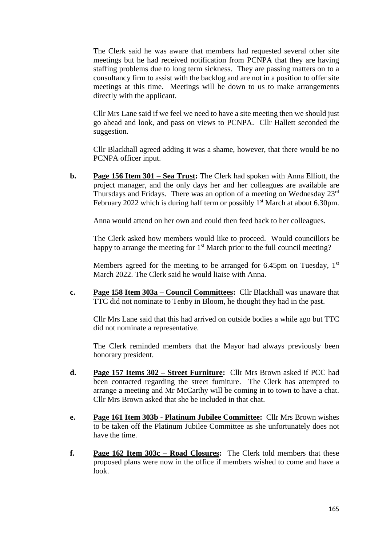The Clerk said he was aware that members had requested several other site meetings but he had received notification from PCNPA that they are having staffing problems due to long term sickness. They are passing matters on to a consultancy firm to assist with the backlog and are not in a position to offer site meetings at this time. Meetings will be down to us to make arrangements directly with the applicant.

Cllr Mrs Lane said if we feel we need to have a site meeting then we should just go ahead and look, and pass on views to PCNPA. Cllr Hallett seconded the suggestion.

Cllr Blackhall agreed adding it was a shame, however, that there would be no PCNPA officer input.

**b. Page 156 Item 301 – Sea Trust:** The Clerk had spoken with Anna Elliott, the project manager, and the only days her and her colleagues are available are Thursdays and Fridays. There was an option of a meeting on Wednesday 23rd February 2022 which is during half term or possibly  $1<sup>st</sup>$  March at about 6.30pm.

Anna would attend on her own and could then feed back to her colleagues.

The Clerk asked how members would like to proceed. Would councillors be happy to arrange the meeting for 1<sup>st</sup> March prior to the full council meeting?

Members agreed for the meeting to be arranged for 6.45pm on Tuesday,  $1<sup>st</sup>$ March 2022. The Clerk said he would liaise with Anna.

**c. Page 158 Item 303a – Council Committees:** Cllr Blackhall was unaware that TTC did not nominate to Tenby in Bloom, he thought they had in the past.

Cllr Mrs Lane said that this had arrived on outside bodies a while ago but TTC did not nominate a representative.

The Clerk reminded members that the Mayor had always previously been honorary president.

- **d. Page 157 Items 302 – Street Furniture:** Cllr Mrs Brown asked if PCC had been contacted regarding the street furniture. The Clerk has attempted to arrange a meeting and Mr McCarthy will be coming in to town to have a chat. Cllr Mrs Brown asked that she be included in that chat.
- **e. Page 161 Item 303b - Platinum Jubilee Committee:** Cllr Mrs Brown wishes to be taken off the Platinum Jubilee Committee as she unfortunately does not have the time.
- **f. Page 162 Item 303c – Road Closures:** The Clerk told members that these proposed plans were now in the office if members wished to come and have a look.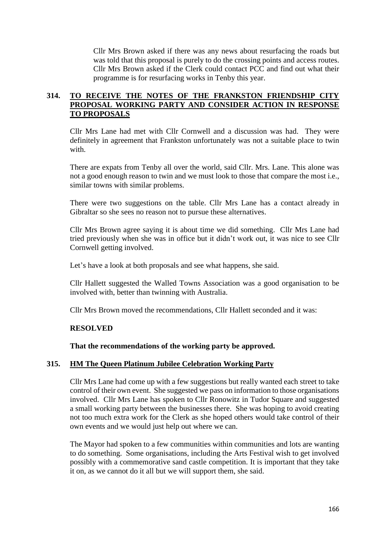Cllr Mrs Brown asked if there was any news about resurfacing the roads but was told that this proposal is purely to do the crossing points and access routes. Cllr Mrs Brown asked if the Clerk could contact PCC and find out what their programme is for resurfacing works in Tenby this year.

# **314. TO RECEIVE THE NOTES OF THE FRANKSTON FRIENDSHIP CITY PROPOSAL WORKING PARTY AND CONSIDER ACTION IN RESPONSE TO PROPOSALS**

Cllr Mrs Lane had met with Cllr Cornwell and a discussion was had. They were definitely in agreement that Frankston unfortunately was not a suitable place to twin with.

There are expats from Tenby all over the world, said Cllr. Mrs. Lane. This alone was not a good enough reason to twin and we must look to those that compare the most i.e., similar towns with similar problems.

There were two suggestions on the table. Cllr Mrs Lane has a contact already in Gibraltar so she sees no reason not to pursue these alternatives.

Cllr Mrs Brown agree saying it is about time we did something. Cllr Mrs Lane had tried previously when she was in office but it didn't work out, it was nice to see Cllr Cornwell getting involved.

Let's have a look at both proposals and see what happens, she said.

Cllr Hallett suggested the Walled Towns Association was a good organisation to be involved with, better than twinning with Australia.

Cllr Mrs Brown moved the recommendations, Cllr Hallett seconded and it was:

#### **RESOLVED**

#### **That the recommendations of the working party be approved.**

#### **315. HM The Queen Platinum Jubilee Celebration Working Party**

Cllr Mrs Lane had come up with a few suggestions but really wanted each street to take control of their own event. She suggested we pass on information to those organisations involved. Cllr Mrs Lane has spoken to Cllr Ronowitz in Tudor Square and suggested a small working party between the businesses there. She was hoping to avoid creating not too much extra work for the Clerk as she hoped others would take control of their own events and we would just help out where we can.

The Mayor had spoken to a few communities within communities and lots are wanting to do something. Some organisations, including the Arts Festival wish to get involved possibly with a commemorative sand castle competition. It is important that they take it on, as we cannot do it all but we will support them, she said.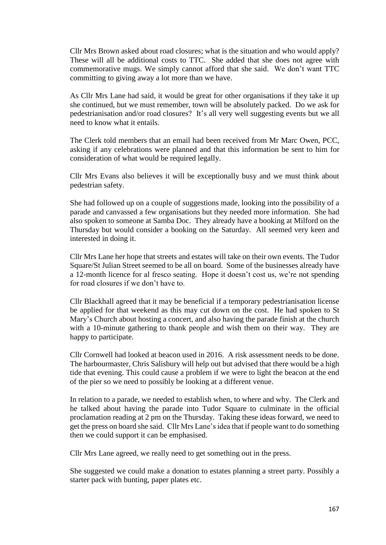Cllr Mrs Brown asked about road closures; what is the situation and who would apply? These will all be additional costs to TTC. She added that she does not agree with commemorative mugs. We simply cannot afford that she said. We don't want TTC committing to giving away a lot more than we have.

As Cllr Mrs Lane had said, it would be great for other organisations if they take it up she continued, but we must remember, town will be absolutely packed. Do we ask for pedestrianisation and/or road closures? It's all very well suggesting events but we all need to know what it entails.

The Clerk told members that an email had been received from Mr Marc Owen, PCC, asking if any celebrations were planned and that this information be sent to him for consideration of what would be required legally.

Cllr Mrs Evans also believes it will be exceptionally busy and we must think about pedestrian safety.

She had followed up on a couple of suggestions made, looking into the possibility of a parade and canvassed a few organisations but they needed more information. She had also spoken to someone at Samba Doc. They already have a booking at Milford on the Thursday but would consider a booking on the Saturday. All seemed very keen and interested in doing it.

Cllr Mrs Lane her hope that streets and estates will take on their own events. The Tudor Square/St Julian Street seemed to be all on board. Some of the businesses already have a 12-month licence for al fresco seating. Hope it doesn't cost us, we're not spending for road closures if we don't have to.

Cllr Blackhall agreed that it may be beneficial if a temporary pedestrianisation license be applied for that weekend as this may cut down on the cost. He had spoken to St Mary's Church about hosting a concert, and also having the parade finish at the church with a 10-minute gathering to thank people and wish them on their way. They are happy to participate.

Cllr Cornwell had looked at beacon used in 2016. A risk assessment needs to be done. The harbourmaster, Chris Salisbury will help out but advised that there would be a high tide that evening. This could cause a problem if we were to light the beacon at the end of the pier so we need to possibly be looking at a different venue.

In relation to a parade, we needed to establish when, to where and why. The Clerk and he talked about having the parade into Tudor Square to culminate in the official proclamation reading at 2 pm on the Thursday. Taking these ideas forward, we need to get the press on board she said. Cllr Mrs Lane's idea that if people want to do something then we could support it can be emphasised.

Cllr Mrs Lane agreed, we really need to get something out in the press.

She suggested we could make a donation to estates planning a street party. Possibly a starter pack with bunting, paper plates etc.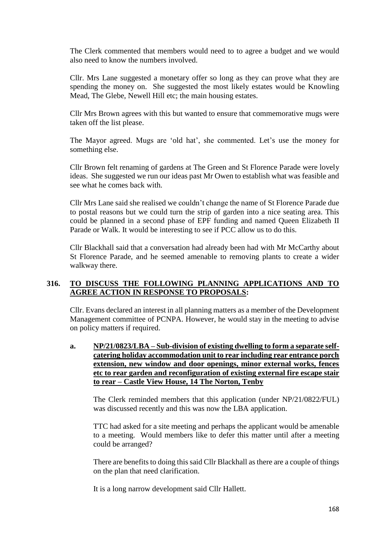The Clerk commented that members would need to to agree a budget and we would also need to know the numbers involved.

Cllr. Mrs Lane suggested a monetary offer so long as they can prove what they are spending the money on. She suggested the most likely estates would be Knowling Mead, The Glebe, Newell Hill etc; the main housing estates.

Cllr Mrs Brown agrees with this but wanted to ensure that commemorative mugs were taken off the list please.

The Mayor agreed. Mugs are 'old hat', she commented. Let's use the money for something else.

Cllr Brown felt renaming of gardens at The Green and St Florence Parade were lovely ideas. She suggested we run our ideas past Mr Owen to establish what was feasible and see what he comes back with.

Cllr Mrs Lane said she realised we couldn't change the name of St Florence Parade due to postal reasons but we could turn the strip of garden into a nice seating area. This could be planned in a second phase of EPF funding and named Queen Elizabeth II Parade or Walk. It would be interesting to see if PCC allow us to do this.

Cllr Blackhall said that a conversation had already been had with Mr McCarthy about St Florence Parade, and he seemed amenable to removing plants to create a wider walkway there.

# **316. TO DISCUSS THE FOLLOWING PLANNING APPLICATIONS AND TO AGREE ACTION IN RESPONSE TO PROPOSALS:**

Cllr. Evans declared an interest in all planning matters as a member of the Development Management committee of PCNPA. However, he would stay in the meeting to advise on policy matters if required.

**a. NP/21/0823/LBA – Sub-division of existing dwelling to form a separate selfcatering holiday accommodation unit to rear including rear entrance porch extension, new window and door openings, minor external works, fences etc to rear garden and reconfiguration of existing external fire escape stair to rear – Castle View House, 14 The Norton, Tenby**

The Clerk reminded members that this application (under NP/21/0822/FUL) was discussed recently and this was now the LBA application.

TTC had asked for a site meeting and perhaps the applicant would be amenable to a meeting. Would members like to defer this matter until after a meeting could be arranged?

There are benefits to doing this said Cllr Blackhall as there are a couple of things on the plan that need clarification.

It is a long narrow development said Cllr Hallett.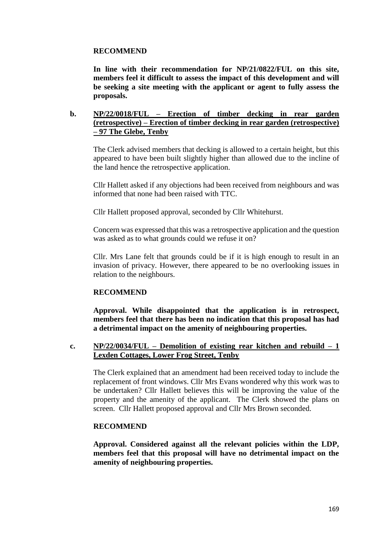# **RECOMMEND**

**In line with their recommendation for NP/21/0822/FUL on this site, members feel it difficult to assess the impact of this development and will be seeking a site meeting with the applicant or agent to fully assess the proposals.**

### **b. NP/22/0018/FUL – Erection of timber decking in rear garden (retrospective) – Erection of timber decking in rear garden (retrospective) – 97 The Glebe, Tenby**

The Clerk advised members that decking is allowed to a certain height, but this appeared to have been built slightly higher than allowed due to the incline of the land hence the retrospective application.

Cllr Hallett asked if any objections had been received from neighbours and was informed that none had been raised with TTC.

Cllr Hallett proposed approval, seconded by Cllr Whitehurst.

Concern was expressed that this was a retrospective application and the question was asked as to what grounds could we refuse it on?

Cllr. Mrs Lane felt that grounds could be if it is high enough to result in an invasion of privacy. However, there appeared to be no overlooking issues in relation to the neighbours.

#### **RECOMMEND**

**Approval. While disappointed that the application is in retrospect, members feel that there has been no indication that this proposal has had a detrimental impact on the amenity of neighbouring properties.**

### **c. NP/22/0034/FUL – Demolition of existing rear kitchen and rebuild – 1 Lexden Cottages, Lower Frog Street, Tenby**

The Clerk explained that an amendment had been received today to include the replacement of front windows. Cllr Mrs Evans wondered why this work was to be undertaken? Cllr Hallett believes this will be improving the value of the property and the amenity of the applicant. The Clerk showed the plans on screen. Cllr Hallett proposed approval and Cllr Mrs Brown seconded.

#### **RECOMMEND**

**Approval. Considered against all the relevant policies within the LDP, members feel that this proposal will have no detrimental impact on the amenity of neighbouring properties.**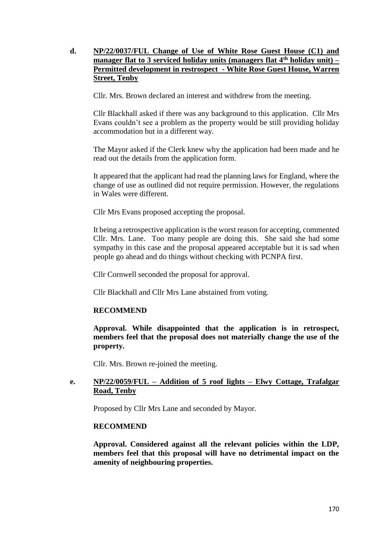# **d. NP/22/0037/FUL Change of Use of White Rose Guest House (C1) and manager flat to 3 serviced holiday units (managers flat 4th holiday unit) – Permitted development in restrospect - White Rose Guest House, Warren Street, Tenby**

Cllr. Mrs. Brown declared an interest and withdrew from the meeting.

Cllr Blackhall asked if there was any background to this application. Cllr Mrs Evans couldn't see a problem as the property would be still providing holiday accommodation but in a different way.

The Mayor asked if the Clerk knew why the application had been made and he read out the details from the application form.

It appeared that the applicant had read the planning laws for England, where the change of use as outlined did not require permission. However, the regulations in Wales were different.

Cllr Mrs Evans proposed accepting the proposal.

It being a retrospective application is the worst reason for accepting, commented Cllr. Mrs. Lane. Too many people are doing this. She said she had some sympathy in this case and the proposal appeared acceptable but it is sad when people go ahead and do things without checking with PCNPA first.

Cllr Cornwell seconded the proposal for approval.

Cllr Blackhall and Cllr Mrs Lane abstained from voting.

# **RECOMMEND**

**Approval. While disappointed that the application is in retrospect, members feel that the proposal does not materially change the use of the property.**

Cllr. Mrs. Brown re-joined the meeting.

### **e. NP/22/0059/FUL – Addition of 5 roof lights – Elwy Cottage, Trafalgar Road, Tenby**

Proposed by Cllr Mrs Lane and seconded by Mayor.

# **RECOMMEND**

**Approval. Considered against all the relevant policies within the LDP, members feel that this proposal will have no detrimental impact on the amenity of neighbouring properties.**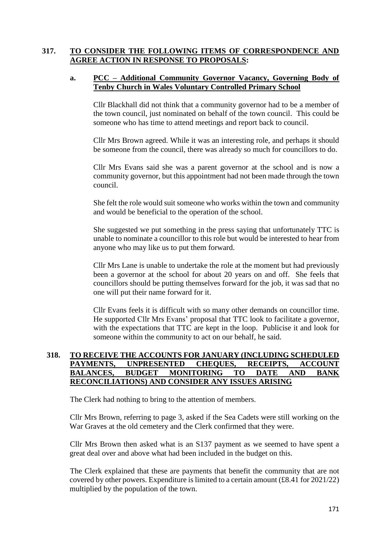# **317. TO CONSIDER THE FOLLOWING ITEMS OF CORRESPONDENCE AND AGREE ACTION IN RESPONSE TO PROPOSALS:**

### **a. PCC – Additional Community Governor Vacancy, Governing Body of Tenby Church in Wales Voluntary Controlled Primary School**

Cllr Blackhall did not think that a community governor had to be a member of the town council, just nominated on behalf of the town council. This could be someone who has time to attend meetings and report back to council.

Cllr Mrs Brown agreed. While it was an interesting role, and perhaps it should be someone from the council, there was already so much for councillors to do.

Cllr Mrs Evans said she was a parent governor at the school and is now a community governor, but this appointment had not been made through the town council.

She felt the role would suit someone who works within the town and community and would be beneficial to the operation of the school.

She suggested we put something in the press saying that unfortunately TTC is unable to nominate a councillor to this role but would be interested to hear from anyone who may like us to put them forward.

Cllr Mrs Lane is unable to undertake the role at the moment but had previously been a governor at the school for about 20 years on and off. She feels that councillors should be putting themselves forward for the job, it was sad that no one will put their name forward for it.

Cllr Evans feels it is difficult with so many other demands on councillor time. He supported Cllr Mrs Evans' proposal that TTC look to facilitate a governor, with the expectations that TTC are kept in the loop. Publicise it and look for someone within the community to act on our behalf, he said.

## **318. TO RECEIVE THE ACCOUNTS FOR JANUARY (INCLUDING SCHEDULED PAYMENTS, UNPRESENTED CHEQUES, RECEIPTS, ACCOUNT BALANCES, BUDGET MONITORING TO DATE AND BANK RECONCILIATIONS) AND CONSIDER ANY ISSUES ARISING**

The Clerk had nothing to bring to the attention of members.

Cllr Mrs Brown, referring to page 3, asked if the Sea Cadets were still working on the War Graves at the old cemetery and the Clerk confirmed that they were.

Cllr Mrs Brown then asked what is an S137 payment as we seemed to have spent a great deal over and above what had been included in the budget on this.

The Clerk explained that these are payments that benefit the community that are not covered by other powers. Expenditure is limited to a certain amount  $(\text{\pounds}8.41$  for  $2021/22)$ multiplied by the population of the town.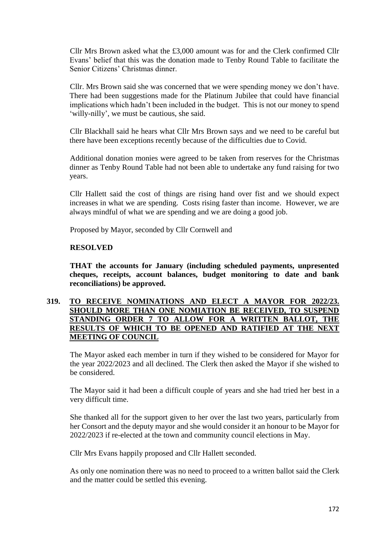Cllr Mrs Brown asked what the £3,000 amount was for and the Clerk confirmed Cllr Evans' belief that this was the donation made to Tenby Round Table to facilitate the Senior Citizens' Christmas dinner.

Cllr. Mrs Brown said she was concerned that we were spending money we don't have. There had been suggestions made for the Platinum Jubilee that could have financial implications which hadn't been included in the budget. This is not our money to spend 'willy-nilly', we must be cautious, she said.

Cllr Blackhall said he hears what Cllr Mrs Brown says and we need to be careful but there have been exceptions recently because of the difficulties due to Covid.

Additional donation monies were agreed to be taken from reserves for the Christmas dinner as Tenby Round Table had not been able to undertake any fund raising for two years.

Cllr Hallett said the cost of things are rising hand over fist and we should expect increases in what we are spending. Costs rising faster than income. However, we are always mindful of what we are spending and we are doing a good job.

Proposed by Mayor, seconded by Cllr Cornwell and

### **RESOLVED**

**THAT the accounts for January (including scheduled payments, unpresented cheques, receipts, account balances, budget monitoring to date and bank reconciliations) be approved.**

## **319. TO RECEIVE NOMINATIONS AND ELECT A MAYOR FOR 2022/23. SHOULD MORE THAN ONE NOMIATION BE RECEIVED, TO SUSPEND STANDING ORDER 7 TO ALLOW FOR A WRITTEN BALLOT, THE RESULTS OF WHICH TO BE OPENED AND RATIFIED AT THE NEXT MEETING OF COUNCIL**

The Mayor asked each member in turn if they wished to be considered for Mayor for the year 2022/2023 and all declined. The Clerk then asked the Mayor if she wished to be considered.

The Mayor said it had been a difficult couple of years and she had tried her best in a very difficult time.

She thanked all for the support given to her over the last two years, particularly from her Consort and the deputy mayor and she would consider it an honour to be Mayor for 2022/2023 if re-elected at the town and community council elections in May.

Cllr Mrs Evans happily proposed and Cllr Hallett seconded.

As only one nomination there was no need to proceed to a written ballot said the Clerk and the matter could be settled this evening.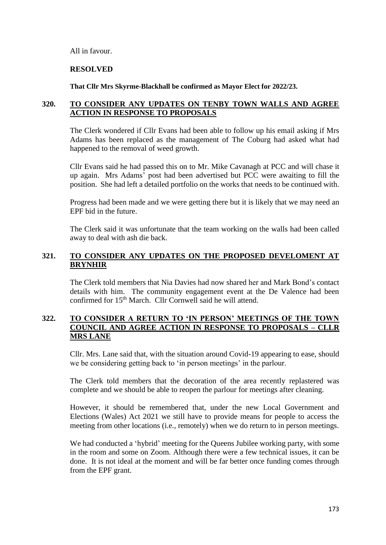All in favour.

#### **RESOLVED**

**That Cllr Mrs Skyrme-Blackhall be confirmed as Mayor Elect for 2022/23.**

### **320. TO CONSIDER ANY UPDATES ON TENBY TOWN WALLS AND AGREE ACTION IN RESPONSE TO PROPOSALS**

The Clerk wondered if Cllr Evans had been able to follow up his email asking if Mrs Adams has been replaced as the management of The Coburg had asked what had happened to the removal of weed growth.

Cllr Evans said he had passed this on to Mr. Mike Cavanagh at PCC and will chase it up again. Mrs Adams' post had been advertised but PCC were awaiting to fill the position. She had left a detailed portfolio on the works that needs to be continued with.

Progress had been made and we were getting there but it is likely that we may need an EPF bid in the future.

The Clerk said it was unfortunate that the team working on the walls had been called away to deal with ash die back.

# **321. TO CONSIDER ANY UPDATES ON THE PROPOSED DEVELOMENT AT BRYNHIR**

The Clerk told members that Nia Davies had now shared her and Mark Bond's contact details with him. The community engagement event at the De Valence had been confirmed for 15th March. Cllr Cornwell said he will attend.

### **322. TO CONSIDER A RETURN TO 'IN PERSON' MEETINGS OF THE TOWN COUNCIL AND AGREE ACTION IN RESPONSE TO PROPOSALS – CLLR MRS LANE**

Cllr. Mrs. Lane said that, with the situation around Covid-19 appearing to ease, should we be considering getting back to 'in person meetings' in the parlour.

The Clerk told members that the decoration of the area recently replastered was complete and we should be able to reopen the parlour for meetings after cleaning.

However, it should be remembered that, under the new Local Government and Elections (Wales) Act 2021 we still have to provide means for people to access the meeting from other locations (i.e., remotely) when we do return to in person meetings.

We had conducted a 'hybrid' meeting for the Queens Jubilee working party, with some in the room and some on Zoom. Although there were a few technical issues, it can be done. It is not ideal at the moment and will be far better once funding comes through from the EPF grant.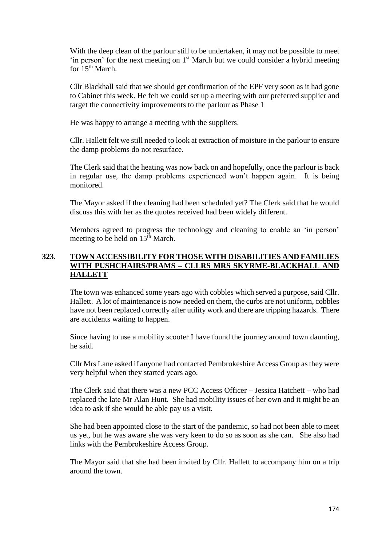With the deep clean of the parlour still to be undertaken, it may not be possible to meet 'in person' for the next meeting on 1<sup>st</sup> March but we could consider a hybrid meeting for  $15^{th}$  March.

Cllr Blackhall said that we should get confirmation of the EPF very soon as it had gone to Cabinet this week. He felt we could set up a meeting with our preferred supplier and target the connectivity improvements to the parlour as Phase 1

He was happy to arrange a meeting with the suppliers.

Cllr. Hallett felt we still needed to look at extraction of moisture in the parlour to ensure the damp problems do not resurface.

The Clerk said that the heating was now back on and hopefully, once the parlour is back in regular use, the damp problems experienced won't happen again. It is being monitored.

The Mayor asked if the cleaning had been scheduled yet? The Clerk said that he would discuss this with her as the quotes received had been widely different.

Members agreed to progress the technology and cleaning to enable an 'in person' meeting to be held on  $15<sup>th</sup>$  March.

# **323. TOWN ACCESSIBILITY FOR THOSE WITH DISABILITIES AND FAMILIES WITH PUSHCHAIRS/PRAMS – CLLRS MRS SKYRME-BLACKHALL AND HALLETT**

The town was enhanced some years ago with cobbles which served a purpose, said Cllr. Hallett. A lot of maintenance is now needed on them, the curbs are not uniform, cobbles have not been replaced correctly after utility work and there are tripping hazards. There are accidents waiting to happen.

Since having to use a mobility scooter I have found the journey around town daunting, he said.

Cllr Mrs Lane asked if anyone had contacted Pembrokeshire Access Group as they were very helpful when they started years ago.

The Clerk said that there was a new PCC Access Officer – Jessica Hatchett – who had replaced the late Mr Alan Hunt. She had mobility issues of her own and it might be an idea to ask if she would be able pay us a visit.

She had been appointed close to the start of the pandemic, so had not been able to meet us yet, but he was aware she was very keen to do so as soon as she can. She also had links with the Pembrokeshire Access Group.

The Mayor said that she had been invited by Cllr. Hallett to accompany him on a trip around the town.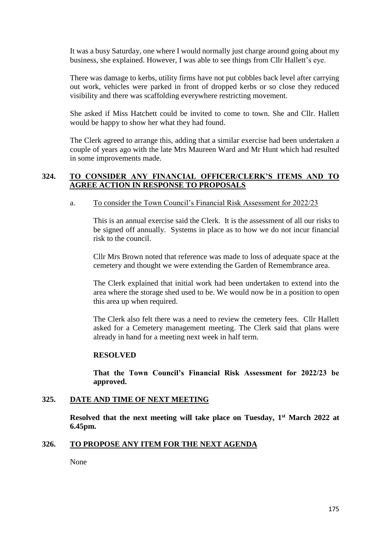It was a busy Saturday, one where I would normally just charge around going about my business, she explained. However, I was able to see things from Cllr Hallett's eye.

There was damage to kerbs, utility firms have not put cobbles back level after carrying out work, vehicles were parked in front of dropped kerbs or so close they reduced visibility and there was scaffolding everywhere restricting movement.

She asked if Miss Hatchett could be invited to come to town. She and Cllr. Hallett would be happy to show her what they had found.

The Clerk agreed to arrange this, adding that a similar exercise had been undertaken a couple of years ago with the late Mrs Maureen Ward and Mr Hunt which had resulted in some improvements made.

# **324. TO CONSIDER ANY FINANCIAL OFFICER/CLERK'S ITEMS AND TO AGREE ACTION IN RESPONSE TO PROPOSALS**

#### a. To consider the Town Council's Financial Risk Assessment for 2022/23

This is an annual exercise said the Clerk. It is the assessment of all our risks to be signed off annually. Systems in place as to how we do not incur financial risk to the council.

Cllr Mrs Brown noted that reference was made to loss of adequate space at the cemetery and thought we were extending the Garden of Remembrance area.

The Clerk explained that initial work had been undertaken to extend into the area where the storage shed used to be. We would now be in a position to open this area up when required.

The Clerk also felt there was a need to review the cemetery fees. Cllr Hallett asked for a Cemetery management meeting. The Clerk said that plans were already in hand for a meeting next week in half term.

#### **RESOLVED**

**That the Town Council's Financial Risk Assessment for 2022/23 be approved.**

### **325. DATE AND TIME OF NEXT MEETING**

**Resolved that the next meeting will take place on Tuesday, 1 st March 2022 at 6.45pm.**

### **326. TO PROPOSE ANY ITEM FOR THE NEXT AGENDA**

None